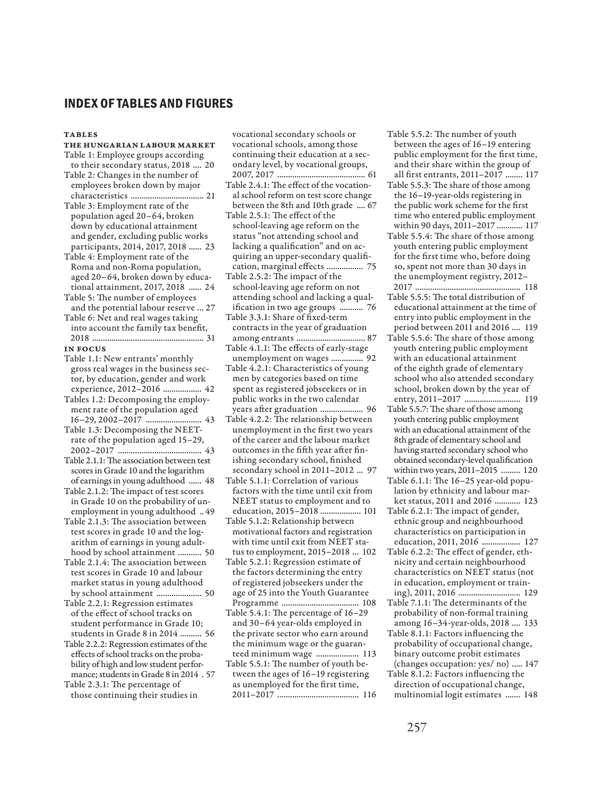## **INDEX OF TABLES AND FIGURES**

## **TABLES**

- The Hungarian Labour Market Table 1: Employee groups according
- to their secondary status, 2018 .... 20 Table 2: Changes in the number of
- employees broken down by major characteristics .................................. 21 Table 3: Employment rate of the
- population aged 20–64, broken down by educational attainment and gender, excluding public works participants, 2014, 2017, 2018 ...... 23
- Table 4: Employment rate of the Roma and non-Roma population, aged 20–64, broken down by educational attainment, 2017, 2018 ...... 24
- Table 5: The number of employees and the potential labour reserve ... 27 Table 6: Net and real wages taking into account the family tax benefit,
- 2018 .................................................... 31 In Focus

- Table 1.1: New entrants' monthly gross real wages in the business sector, by education, gender and work experience, 2012–2016 .................. 42
- Tables 1.2: Decomposing the employment rate of the population aged 16–29, 2002–2017 .......................... 43
- Table 1.3: Decomposing the NEETrate of the population aged 15–29, 2002–2017 ....................................... 43
- Table 2.1.1: The association between test scores in Grade 10 and the logarithm of earnings in young adulthood ...... 48
- Table 2.1.2: The impact of test scores in Grade 10 on the probability of unemployment in young adulthood .. 49
- Table 2.1.3: The association between test scores in grade 10 and the logarithm of earnings in young adulthood by school attainment ........... 50
- Table 2.1.4: The association between test scores in Grade 10 and labour market status in young adulthood by school attainment ..................... 50
- Table 2.2.1: Regression estimates of the effect of school tracks on student performance in Grade 10; students in Grade 8 in 2014 .......... 56
- Table 2.2.2: Regression estimates of the effects of school tracks on the probability of high and low student performance; students in Grade 8 in 2014 . 57
- Table 2.3.1: The percentage of those continuing their studies in

vocational secondary schools or vocational schools, among those continuing their education at a secondary level, by vocational groups, 2007, 2017 ......................................... 61

- Table 2.4.1: The effect of the vocational school reform on test score change between the 8th and 10th grade .... 67
- Table 2.5.1: The effect of the school-leaving age reform on the status "not attending school and lacking a qualification" and on acquiring an upper-secondary qualification, marginal effects ................. 75
- Table 2.5.2: The impact of the school-leaving age reform on not attending school and lacking a qualification in two age groups ........... 76
- Table 3.3.1: Share of fixed-term contracts in the year of graduation among entrants ................................ 87
- Table 4.1.1: The effects of early-stage unemployment on wages ............... 92
- Table 4.2.1: Characteristics of young men by categories based on time spent as registered jobseekers or in public works in the two calendar years after graduation .................... 96
- Table 4.2.2: The relationship between unemployment in the first two years of the career and the labour market outcomes in the fifth year after finishing secondary school, finished secondary school in 2011–2012 ... 97
- Table 5.1.1: Correlation of various factors with the time until exit from NEET status to employment and to education, 2015–2018 ................... 101
- Table 5.1.2: Relationship between motivational factors and registration with time until exit from NEET status to employment, 2015–2018 ... 102
- Table 5.2.1: Regression estimate of the factors determining the entry of registered jobseekers under the age of 25 into the Youth Guarantee Programme .................................... 108
- Table 5.4.1: The percentage of 16–29 and 30–64 year-olds employed in the private sector who earn around the minimum wage or the guaranteed minimum wage .................... 113
- Table 5.5.1: The number of youth between the ages of 16–19 registering as unemployed for the first time, 2011–2017 ...................................... 116
- Table 5.5.2: The number of youth between the ages of 16–19 entering public employment for the first time, and their share within the group of all first entrants, 2011–2017 ........ 117
- Table 5.5.3: The share of those among the 16–19-year-olds registering in the public work scheme for the first time who entered public employment within 90 days, 2011–2017 ............ 117
- Table 5.5.4: The share of those among youth entering public employment for the first time who, before doing so, spent not more than 30 days in the unemployment registry, 2012– 2017 ................................................. 118
- Table 5.5.5: The total distribution of educational attainment at the time of entry into public employment in the period between 2011 and 2016 .... 119
- Table 5.5.6: The share of those among youth entering public employment with an educational attainment of the eighth grade of elementary school who also attended secondary school, broken down by the year of entry, 2011–2017 .......................... 119
- Table 5.5.7: The share of those among youth entering public employment with an educational attainment of the 8th grade of elementary school and having started secondary school who obtained secondary-level qualification within two years, 2011–2015 ......... 120
- Table 6.1.1: The 16–25 year-old population by ethnicity and labour market status, 2011 and 2016 ............ 123
- Table 6.2.1: The impact of gender, ethnic group and neighbourhood characteristics on participation in education, 2011, 2016 .................. 127 Table 6.2.2: The effect of gender, eth-
- nicity and certain neighbourhood characteristics on NEET status (not in education, employment or training), 2011, 2016 ............................. 129
- Table 7.1.1: The determinants of the probability of non-formal training among 16–34-year-olds, 2018 .... 133
- Table 8.1.1: Factors influencing the probability of occupational change, binary outcome probit estimates (changes occupation: yes/ no) ..... 147
- Table 8.1.2: Factors influencing the direction of occupational change, multinomial logit estimates ....... 148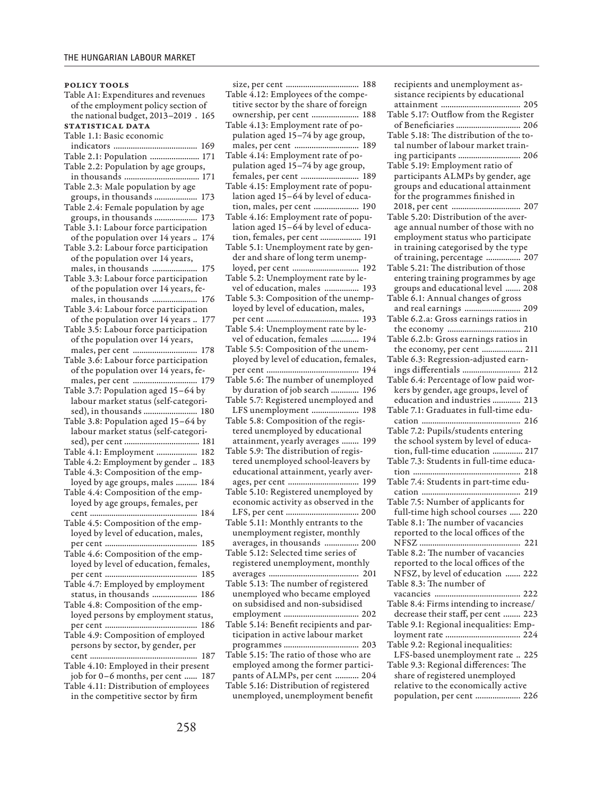policy tools

Table A1: Expenditures and revenues of the employment policy section of the national budget, 2013–2019 . 165 STATISTICAL DATA Table 1.1: Basic economic indicators ....................................... 169 Table 2.1: Population ....................... 171 Table 2.2: Population by age groups, in thousands ................................... 171 Table 2.3: Male population by age groups, in thousands .................... 173 Table 2.4: Female population by age groups, in thousands .................... 173 Table 3.1: Labour force participation of the population over 14 years .. 174 Table 3.2: Labour force participation of the population over 14 years, males, in thousands ..................... 175 Table 3.3: Labour force participation of the population over 14 years, females, in thousands ..................... 176 Table 3.4: Labour force participation of the population over 14 years .. 177 Table 3.5: Labour force participation of the population over 14 years, males, per cent .............................. 178 Table 3.6: Labour force participation of the population over 14 years, females, per cent .............................. 179 Table 3.7: Population aged 15–64 by labour market status (self-categorised), in thousands ......................... 180 Table 3.8: Population aged 15–64 by labour market status (self-categorised), per cent ................................... 181 Table 4.1: Employment ................... 182 Table 4.2: Employment by gender .. 183 Table 4.3: Composition of the employed by age groups, males .......... 184 Table 4.4: Composition of the employed by age groups, females, per cent .................................................. 184 Table 4.5: Composition of the employed by level of education, males, per cent ........................................... 185 Table 4.6: Composition of the employed by level of education, females, per cent ........................................... 185 Table 4.7: Employed by employment status, in thousands ..................... 186 Table 4.8: Composition of the employed persons by employment status, per cent ........................................... 186 Table 4.9: Composition of employed persons by sector, by gender, per cent .................................................. 187 Table 4.10: Employed in their present job for 0–6 months, per cent ...... 187 Table 4.11: Distribution of employees in the competitive sector by firm

size, per cent .................................. 188 Table 4.12: Employees of the competitive sector by the share of foreign ownership, per cent ...................... 188 Table 4.13: Employment rate of population aged 15–74 by age group, males, per cent .............................. 189 Table 4.14: Employment rate of population aged 15–74 by age group, females, per cent ........................... 189 Table 4.15: Employment rate of population aged 15–64 by level of education, males, per cent ..................... 190 Table 4.16: Employment rate of population aged 15–64 by level of education, females, per cent ................... 191 Table 5.1: Unemployment rate by gender and share of long term unemployed, per cent ............................... 192 Table 5.2: Unemployment rate by level of education, males ................ 193 Table 5.3: Composition of the unemployed by level of education, males, per cent ........................................... 193 Table 5.4: Unemployment rate by level of education, females ............. 194 Table 5.5: Composition of the unemployed by level of education, females, per cent ........................................... 194 Table 5.6: The number of unemployed by duration of job search ............. 196 Table 5.7: Registered unemployed and LFS unemployment ...................... 198 Table 5.8: Composition of the registered unemployed by educational attainment, yearly averages ........ 199 Table 5.9: The distribution of registered unemployed school-leavers by educational attainment, yearly averages, per cent ................................. 199 Table 5.10: Registered unemployed by economic activity as observed in the LFS, per cent .................................. 200 Table 5.11: Monthly entrants to the unemployment register, monthly averages, in thousands ................ 200 Table 5.12: Selected time series of registered unemployment, monthly averages .......................................... 201 Table 5.13: The number of registered unemployed who became employed on subsidised and non-subsidised employment ................................... 202 Table 5.14: Benefit recipients and participation in active labour market programmes ................................... 203 Table 5.15: The ratio of those who are employed among the former participants of ALMPs, per cent ........... 204 Table 5.16: Distribution of registered unemployed, unemployment benefit

recipients and unemployment assistance recipients by educational attainment ..................................... 205 Table 5.17: Outflow from the Register of Beneficiaries .............................. 206 Table 5.18: The distribution of the total number of labour market training participants ............................. 206 Table 5.19: Employment ratio of participants ALMPs by gender, age groups and educational attainment for the programmes finished in 2018, per cent ................................ 207 Table 5.20: Distribution of the average annual number of those with no employment status who participate in training categorised by the type of training, percentage ................ 207 Table 5.21: The distribution of those entering training programmes by age groups and educational level ....... 208 Table 6.1: Annual changes of gross and real earnings .......................... 209 Table 6.2.a: Gross earnings ratios in the economy .................................. 210 Table 6.2.b: Gross earnings ratios in the economy, per cent ................... 211 Table 6.3: Regression-adjusted earnings differentials ........................... 212 Table 6.4: Percentage of low paid workers by gender, age groups, level of education and industries ............. 213 Table 7.1: Graduates in full-time education .............................................. 216 Table 7.2: Pupils/students entering the school system by level of education, full-time education .............. 217 Table 7.3: Students in full-time education .................................................. 218 Table 7.4: Students in part-time education .............................................. 219 Table 7.5: Number of applicants for full-time high school courses ..... 220 Table 8.1: The number of vacancies reported to the local offices of the NFSZ ............................................... 221 Table 8.2: The number of vacancies reported to the local offices of the NFSZ, by level of education ....... 222 Table 8.3: The number of vacancies ........................................ 222 Table 8.4: Firms intending to increase/ decrease their staff, per cent ........ 223 Table 9.1: Regional inequalities: Employment rate ................................... 224 Table 9.2: Regional inequalities: LFS-based unemployment rate .. 225 Table 9.3: Regional differences: The share of registered unemployed relative to the economically active population, per cent ..................... 226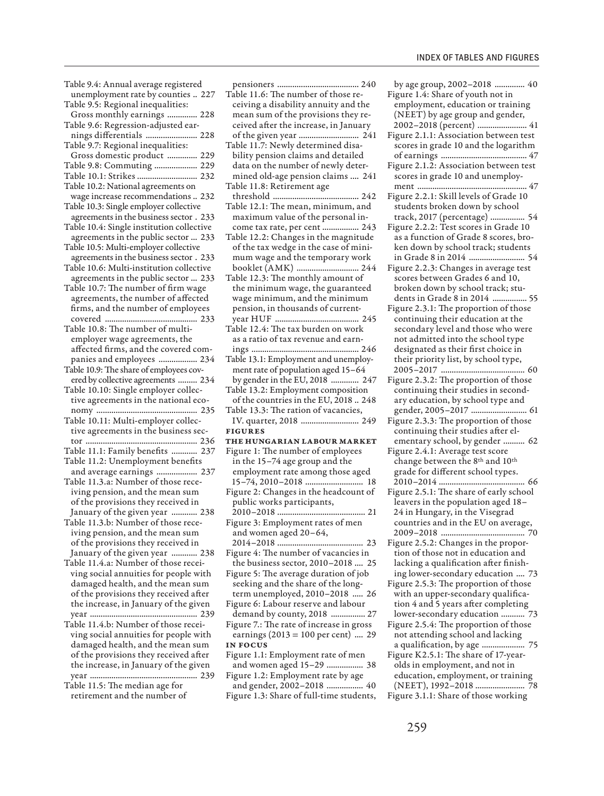Table 9.4: Annual average registered unemployment rate by counties .. 227 Table 9.5: Regional inequalities: Gross monthly earnings .............. 228 Table 9.6: Regression-adjusted earnings differentials ........................ 228 Table 9.7: Regional inequalities: Gross domestic product .............. 229 Table 9.8: Commuting .................... 229 Table 10.1: Strikes ............................ 232 Table 10.2: National agreements on wage increase recommendations .. 232 Table 10.3: Single employer collective agreements in the business sector . 233 Table 10.4: Single institution collective agreements in the public sector ... 233 Table 10.5: Multi-employer collective agreements in the business sector . 233 Table 10.6: Multi-institution collective agreements in the public sector ... 233 Table 10.7: The number of firm wage agreements, the number of affected firms, and the number of employees covered ........................................... 233 Table 10.8: The number of multiemployer wage agreements, the affected firms, and the covered companies and employees .................. 234 Table 10.9: The share of employees covered by collective agreements ......... 234 Table 10.10: Single employer collective agreements in the national economy ............................................... 235 Table 10.11: Multi-employer collective agreements in the business sector .................................................... 236 Table 11.1: Family benefits ............ 237 Table 11.2: Unemployment benefits and average earnings ................... 237 Table 11.3.a: Number of those receiving pension, and the mean sum of the provisions they received in January of the given year ............ 238 Table 11.3.b: Number of those receiving pension, and the mean sum of the provisions they received in January of the given year ............ 238 Table 11.4.a: Number of those receiving social annuities for people with damaged health, and the mean sum of the provisions they received after the increase, in January of the given year .................................................. 239 Table 11.4.b: Number of those receiving social annuities for people with damaged health, and the mean sum of the provisions they received after the increase, in January of the given year .................................................. 239

Table 11.5: The median age for retirement and the number of

pensioners ...................................... 240 Table 11.6: The number of those receiving a disability annuity and the mean sum of the provisions they received after the increase, in January of the given year ............................ 241 Table 11.7: Newly determined disability pension claims and detailed data on the number of newly determined old-age pension claims .... 241 Table 11.8: Retirement age threshold ........................................ 242 Table 12.1: The mean, minimum, and maximum value of the personal income tax rate, per cent ................. 243 Table 12.2: Changes in the magnitude of the tax wedge in the case of minimum wage and the temporary work booklet (AMK) ............................. 244 Table 12.3: The monthly amount of the minimum wage, the guaranteed wage minimum, and the minimum pension, in thousands of currentyear HUF ....................................... 245 Table 12.4: The tax burden on work as a ratio of tax revenue and earnings .................................................. 246 Table 13.1: Employment and unemployment rate of population aged 15–64 by gender in the EU, 2018 ............. 247 Table 13.2: Employment composition of the countries in the EU, 2018 .. 248 Table 13.3: The ration of vacancies, IV. quarter, 2018 ........................... 249 Figures The Hungarian Labour Market Figure 1: The number of employees in the 15–74 age group and the employment rate among those aged 15–74, 2010–2018 ........................... 18 Figure 2: Changes in the headcount of public works participants, 2010–2018 ......................................... 21 Figure 3: Employment rates of men and women aged 20–64, 2014–2018 ........................................ 23 Figure 4: The number of vacancies in the business sector, 2010–2018 .... 25 Figure 5: The average duration of job seeking and the share of the longterm unemployed, 2010–2018 ..... 26 Figure 6: Labour reserve and labour demand by county, 2018 ................ 27 Figure 7.: The rate of increase in gross earnings  $(2013 = 100 \text{ per cent})$  .... 29 In Focus Figure 1.1: Employment rate of men and women aged 15–29 ................. 38 Figure 1.2: Employment rate by age

and gender, 2002–2018 ................. 40 Figure 1.3: Share of full-time students,

by age group, 2002–2018 .............. 40 Figure 1.4: Share of youth not in employment, education or training (NEET) by age group and gender, 2002–2018 (percent) ....................... 41

- Figure 2.1.1: Association between test scores in grade 10 and the logarithm of earnings ........................................ 47
- Figure 2.1.2: Association between test scores in grade 10 and unemployment ................................................... 47
- Figure 2.2.1: Skill levels of Grade 10 students broken down by school track, 2017 (percentage) ................ 54
- Figure 2.2.2: Test scores in Grade 10 as a function of Grade 8 scores, broken down by school track; students in Grade 8 in 2014 .......................... 54
- Figure 2.2.3: Changes in average test scores between Grades 6 and 10, broken down by school track; students in Grade 8 in 2014 ................ 55
- Figure 2.3.1: The proportion of those continuing their education at the secondary level and those who were not admitted into the school type designated as their first choice in their priority list, by school type, 2005–2017 ....................................... 60
- Figure 2.3.2: The proportion of those continuing their studies in secondary education, by school type and gender, 2005–2017 .......................... 61
- Figure 2.3.3: The proportion of those continuing their studies after elementary school, by gender .......... 62
- Figure 2.4.1: Average test score change between the 8th and 10th grade for different school types. 2010–2014 ........................................ 66
- Figure 2.5.1: The share of early school leavers in the population aged 18– 24 in Hungary, in the Visegrad countries and in the EU on average, 2009–2018 ....................................... 70
- Figure 2.5.2: Changes in the proportion of those not in education and lacking a qualification after finishing lower-secondary education .... 73 Figure 2.5.3: The proportion of those
- with an upper-secondary qualification 4 and 5 years after completing lower-secondary education ........... 73
- Figure 2.5.4: The proportion of those not attending school and lacking a qualification, by age .................... 75
- Figure K2.5.1: The share of 17-yearolds in employment, and not in education, employment, or training (NEET), 1992–2018 ....................... 78 Figure 3.1.1: Share of those working